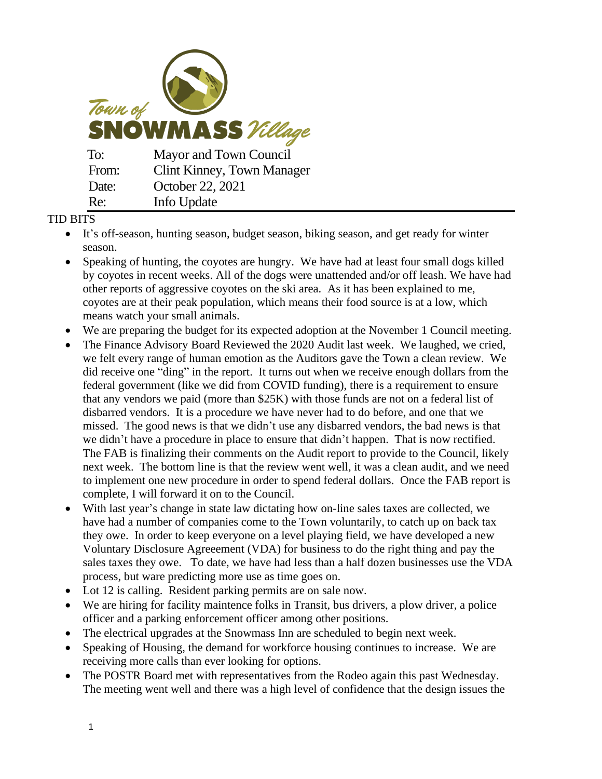

## TID BITS

- It's off-season, hunting season, budget season, biking season, and get ready for winter season.
- Speaking of hunting, the coyotes are hungry. We have had at least four small dogs killed by coyotes in recent weeks. All of the dogs were unattended and/or off leash. We have had other reports of aggressive coyotes on the ski area. As it has been explained to me, coyotes are at their peak population, which means their food source is at a low, which means watch your small animals.
- We are preparing the budget for its expected adoption at the November 1 Council meeting.
- The Finance Advisory Board Reviewed the 2020 Audit last week. We laughed, we cried, we felt every range of human emotion as the Auditors gave the Town a clean review. We did receive one "ding" in the report. It turns out when we receive enough dollars from the federal government (like we did from COVID funding), there is a requirement to ensure that any vendors we paid (more than \$25K) with those funds are not on a federal list of disbarred vendors. It is a procedure we have never had to do before, and one that we missed. The good news is that we didn't use any disbarred vendors, the bad news is that we didn't have a procedure in place to ensure that didn't happen. That is now rectified. The FAB is finalizing their comments on the Audit report to provide to the Council, likely next week. The bottom line is that the review went well, it was a clean audit, and we need to implement one new procedure in order to spend federal dollars. Once the FAB report is complete, I will forward it on to the Council.
- With last year's change in state law dictating how on-line sales taxes are collected, we have had a number of companies come to the Town voluntarily, to catch up on back tax they owe. In order to keep everyone on a level playing field, we have developed a new Voluntary Disclosure Agreeement (VDA) for business to do the right thing and pay the sales taxes they owe. To date, we have had less than a half dozen businesses use the VDA process, but ware predicting more use as time goes on.
- Lot 12 is calling. Resident parking permits are on sale now.
- We are hiring for facility maintence folks in Transit, bus drivers, a plow driver, a police officer and a parking enforcement officer among other positions.
- The electrical upgrades at the Snowmass Inn are scheduled to begin next week.
- Speaking of Housing, the demand for workforce housing continues to increase. We are receiving more calls than ever looking for options.
- The POSTR Board met with representatives from the Rodeo again this past Wednesday. The meeting went well and there was a high level of confidence that the design issues the